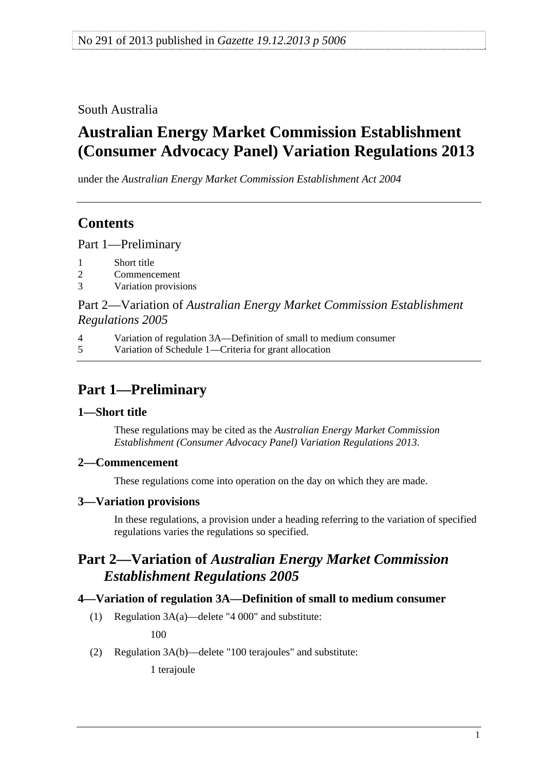<span id="page-0-0"></span>South Australia

# **Australian Energy Market Commission Establishment (Consumer Advocacy Panel) Variation Regulations 2013**

under the *Australian Energy Market Commission Establishment Act 2004*

### **Contents**

[Part 1—Preliminary](#page-0-0)

- [1 Short title](#page-0-0)
- [2 Commencement](#page-0-0)
- [3 Variation provisions](#page-0-0)

### Part 2—Variation of *[Australian Energy Market Commission Establishment](#page-0-0)  [Regulations 2005](#page-0-0)*

[4 Variation of regulation 3A—Definition of small to medium consumer](#page-0-0)

[5 Variation of Schedule 1—Criteria for grant allocation](#page-1-0)

## **Part 1—Preliminary**

#### **1—Short title**

These regulations may be cited as the *Australian Energy Market Commission Establishment (Consumer Advocacy Panel) Variation Regulations 2013*.

#### **2—Commencement**

These regulations come into operation on the day on which they are made.

#### **3—Variation provisions**

In these regulations, a provision under a heading referring to the variation of specified regulations varies the regulations so specified.

### **Part 2—Variation of** *Australian Energy Market Commission Establishment Regulations 2005*

#### **4—Variation of regulation 3A—Definition of small to medium consumer**

(1) Regulation 3A(a)—delete "4 000" and substitute:

100

(2) Regulation 3A(b)—delete "100 terajoules" and substitute:

1 terajoule